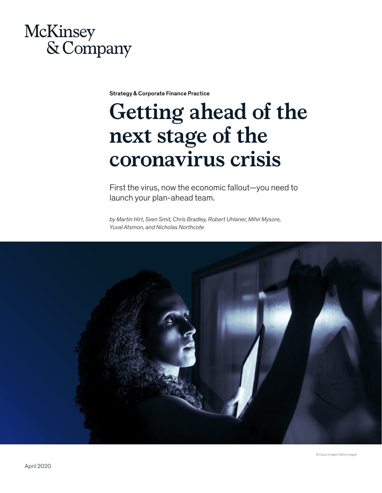

Strategy & Corporate Finance Practice

# **Getting ahead of the next stage of the coronavirus crisis**

First the virus, now the economic fallout—you need to launch your plan-ahead team.

*by Martin Hirt, Sven Smit, Chris Bradley, Robert Uhlaner, Mihir Mysore, Yuval Atsmon, and Nicholas Northcote*

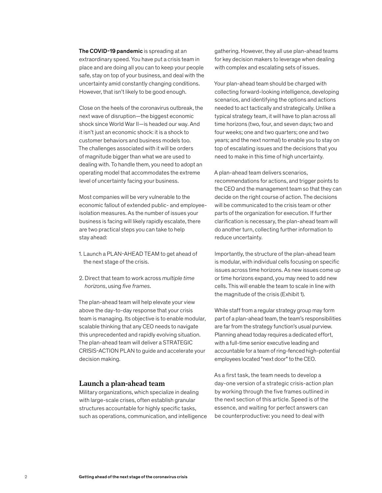The COVID-19 pandemic is spreading at an extraordinary speed. You have put a crisis team in place and are doing all you can to keep your people safe, stay on top of your business, and deal with the uncertainty amid constantly changing conditions. However, that isn't likely to be good enough.

Close on the heels of the coronavirus outbreak, the next wave of disruption—the biggest economic shock since World War II—is headed our way. And it isn't just an economic shock: it is a shock to customer behaviors and business models too. The challenges associated with it will be orders of magnitude bigger than what we are used to dealing with. To handle them, you need to adopt an operating model that accommodates the extreme level of uncertainty facing your business.

Most companies will be very vulnerable to the economic fallout of extended public- and employeeisolation measures. As the number of issues your business is facing will likely rapidly escalate, there are two practical steps you can take to help stay ahead:

- 1. Launch a PLAN-AHEAD TEAM to get ahead of the next stage of the crisis.
- 2. Direct that team to work across *multiple time horizons*, using *five frames*.

The plan-ahead team will help elevate your view above the day-to-day response that your crisis team is managing. Its objective is to enable modular, scalable thinking that any CEO needs to navigate this unprecedented and rapidly evolving situation. The plan-ahead team will deliver a STRATEGIC CRISIS-ACTION PLAN to guide and accelerate your decision making.

#### **Launch a plan-ahead team**

Military organizations, which specialize in dealing with large-scale crises, often establish granular structures accountable for highly specific tasks, such as operations, communication, and intelligence

gathering. However, they all use plan-ahead teams for key decision makers to leverage when dealing with complex and escalating sets of issues.

Your plan-ahead team should be charged with collecting forward-looking intelligence, developing scenarios, and identifying the options and actions needed to act tactically and strategically. Unlike a typical strategy team, it will have to plan across all time horizons (two, four, and seven days; two and four weeks; one and two quarters; one and two years; and the next normal) to enable you to stay on top of escalating issues and the decisions that you need to make in this time of high uncertainty.

A plan-ahead team delivers scenarios, recommendations for actions, and trigger points to the CEO and the management team so that they can decide on the right course of action. The decisions will be communicated to the crisis team or other parts of the organization for execution. If further clarification is necessary, the plan-ahead team will do another turn, collecting further information to reduce uncertainty.

Importantly, the structure of the plan-ahead team is modular, with individual cells focusing on specific issues across time horizons. As new issues come up or time horizons expand, you may need to add new cells. This will enable the team to scale in line with the magnitude of the crisis (Exhibit 1).

While staff from a regular strategy group may form part of a plan-ahead team, the team's responsibilities are far from the strategy function's usual purview. Planning ahead today requires a dedicated effort, with a full-time senior executive leading and accountable for a team of ring-fenced high-potential employees located "next door" to the CEO.

As a first task, the team needs to develop a day-one version of a strategic crisis-action plan by working through the five frames outlined in the next section of this article. Speed is of the essence, and waiting for perfect answers can be counterproductive: you need to deal with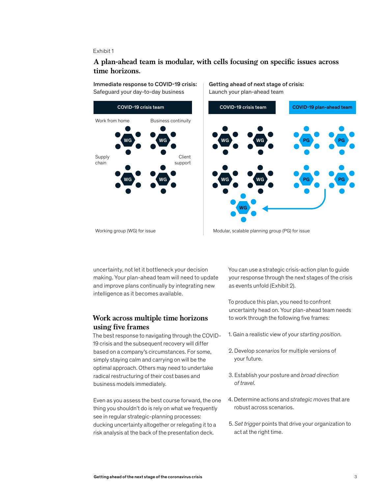#### Exhibit 1

### A plan-ahead team is modular, with cells focusing on specific issues across **time horizons.**

Immediate response to COVID-19 crisis: Safeguard your day-to-day business



Getting ahead of next stage of crisis: Launch your plan-ahead team



Working group (WG) for issue Modular, scalable planning group (PG) for issue

uncertainty, not let it bottleneck your decision making. Your plan-ahead team will need to update and improve plans continually by integrating new intelligence as it becomes available.

### **Work across multiple time horizons using five frames**

The best response to navigating through the COVID-19 crisis and the subsequent recovery will differ based on a company's circumstances. For some, simply staying calm and carrying on will be the optimal approach. Others may need to undertake radical restructuring of their cost bases and business models immediately.

Even as you assess the best course forward, the one thing you shouldn't do is rely on what we frequently see in regular strategic-planning processes: ducking uncertainty altogether or relegating it to a risk analysis at the back of the presentation deck.

You can use a strategic crisis-action plan to guide your response through the next stages of the crisis as events unfold (Exhibit 2).

To produce this plan, you need to confront uncertainty head on. Your plan-ahead team needs to work through the following five frames:

- 1. Gain a realistic view of your *starting position*.
- 2. Develop *scenarios* for multiple versions of your future.
- 3. Establish your posture and *broad direction of travel*.
- 4. Determine actions and *strategic moves* that are robust across scenarios.
- 5. *Set trigger* points that drive your organization to act at the right time.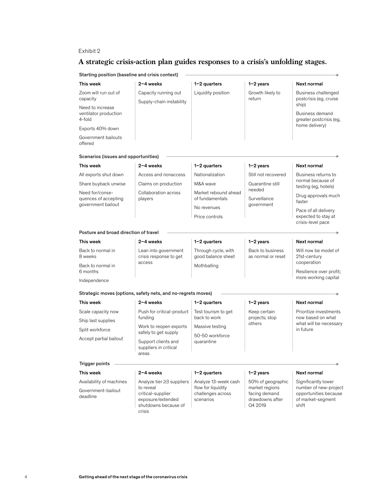#### Exhibit 2

# **A strategic crisis-action plan guides responses to a crisis's unfolding stages.**

Starting position (baseline and crisis context)

| This week                                                     | 2-4 weeks                                                                                                          | $1-2$ quarters                                                               | $1-2$ years                                                                        | Next normal                                                                                         |
|---------------------------------------------------------------|--------------------------------------------------------------------------------------------------------------------|------------------------------------------------------------------------------|------------------------------------------------------------------------------------|-----------------------------------------------------------------------------------------------------|
| Zoom will run out of<br>capacity                              | Capacity running out<br>Supply-chain instability                                                                   | Liquidity position                                                           | Growth likely to<br>return                                                         | Business challenged<br>postcrisis (eg, cruise                                                       |
| Need to increase<br>ventilator production<br>4-fold           |                                                                                                                    |                                                                              |                                                                                    | ship)<br>Business demand<br>greater postcrisis (eg,                                                 |
| Exports 40% down                                              |                                                                                                                    |                                                                              |                                                                                    | home delivery)                                                                                      |
| Government bailouts<br>offered                                |                                                                                                                    |                                                                              |                                                                                    |                                                                                                     |
| Scenarios (issues and opportunities)                          |                                                                                                                    |                                                                              |                                                                                    |                                                                                                     |
| This week                                                     | 2-4 weeks                                                                                                          | $1-2$ quarters                                                               | $1-2$ years                                                                        | Next normal                                                                                         |
| All exports shut down                                         | Access and nonaccess                                                                                               | Nationalization                                                              | Still not recovered                                                                | Business returns to<br>normal because of<br>testing (eg, hotels)                                    |
| Share buyback unwise                                          | Claims on production                                                                                               | M&A wave                                                                     | Quarantine still                                                                   |                                                                                                     |
| Need for/conse-<br>quences of accepting<br>government bailout | Collaboration across<br>players                                                                                    | Market rebound ahead<br>of fundamentals                                      | needed<br>Surveillance<br>government                                               | Drug approvals much<br>faster                                                                       |
|                                                               |                                                                                                                    | No revenues                                                                  |                                                                                    | Pace of all delivery<br>expected to stay at<br>crisis-level pace                                    |
|                                                               |                                                                                                                    | Price controls                                                               |                                                                                    |                                                                                                     |
| Posture and broad direction of travel                         |                                                                                                                    |                                                                              |                                                                                    |                                                                                                     |
| This week                                                     | 2-4 weeks                                                                                                          | $1-2$ quarters                                                               | $1-2$ years                                                                        | Next normal                                                                                         |
| Back to normal in<br>8 weeks                                  | Lean into government<br>crisis response to get<br>access                                                           | Through cycle, with<br>good balance sheet                                    | Back to business<br>as normal or reset                                             | Will now be model of<br>21st-century                                                                |
| Back to normal in<br>6 months                                 |                                                                                                                    | Mothballing                                                                  |                                                                                    | cooperation<br>Resilience over profit;                                                              |
| Independence                                                  |                                                                                                                    |                                                                              |                                                                                    | more working capital                                                                                |
|                                                               | Strategic moves (options, safety nets, and no-regrets moves)                                                       |                                                                              |                                                                                    |                                                                                                     |
| This week                                                     | 2-4 weeks                                                                                                          | $1-2$ quarters                                                               | $1-2$ years                                                                        | Next normal                                                                                         |
| Scale capacity now                                            | Push for critical-product<br>funding                                                                               | Test tourism to get<br>back to work                                          | Keep certain<br>projects; stop<br>others                                           | Prioritize investments<br>now based on what<br>what will be necessary<br>in future                  |
| Ship last supplies                                            |                                                                                                                    |                                                                              |                                                                                    |                                                                                                     |
| Split workforce                                               | Work to reopen exports                                                                                             | Massive testing                                                              |                                                                                    |                                                                                                     |
| Accept partial bailout                                        | safely to get supply<br>Support clients and<br>suppliers in critical<br>areas                                      | 50-50 workforce<br>quarantine                                                |                                                                                    |                                                                                                     |
|                                                               |                                                                                                                    |                                                                              |                                                                                    |                                                                                                     |
| <b>Trigger points</b>                                         |                                                                                                                    |                                                                              |                                                                                    |                                                                                                     |
| This week                                                     | $2 - 4$ weeks                                                                                                      | $1-2$ quarters                                                               | $1-2$ years                                                                        | Next normal                                                                                         |
| Availability of machines                                      | Analyze tier ≥3 suppliers<br>to reveal<br>critical-supplier<br>exposure/extended<br>shutdowns because of<br>crisis | Analyze 13-week cash<br>flow for liquidity<br>challenges across<br>scenarios | 50% of geographic<br>market regions<br>facing demand<br>drawdowns after<br>Q4 2019 | Significantly lower<br>number of new-project<br>opportunities because<br>of market-segment<br>shift |
| Government-bailout<br>deadline                                |                                                                                                                    |                                                                              |                                                                                    |                                                                                                     |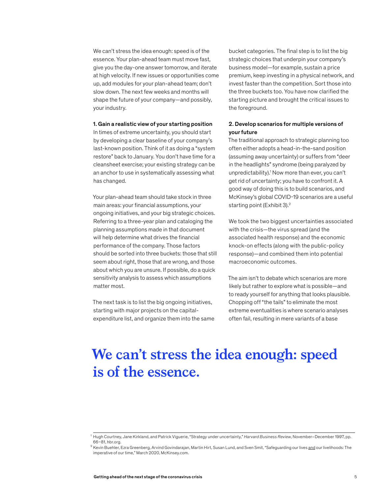We can't stress the idea enough: speed is of the essence. Your plan-ahead team must move fast, give you the day-one answer tomorrow, and iterate at high velocity. If new issues or opportunities come up, add modules for your plan-ahead team; don't slow down. The next few weeks and months will shape the future of your company—and possibly, your industry.

#### 1. Gain a realistic view of your starting position

In times of extreme uncertainty, you should start by developing a clear baseline of your company's last-known position. Think of it as doing a "system restore" back to January. You don't have time for a cleansheet exercise; your existing strategy can be an anchor to use in systematically assessing what has changed.

Your plan-ahead team should take stock in three main areas: your financial assumptions, your ongoing initiatives, and your big strategic choices. Referring to a three-year plan and cataloging the planning assumptions made in that document will help determine what drives the financial performance of the company. Those factors should be sorted into three buckets: those that still seem about right, those that are wrong, and those about which you are unsure. If possible, do a quick sensitivity analysis to assess which assumptions matter most.

The next task is to list the big ongoing initiatives, starting with major projects on the capitalexpenditure list, and organize them into the same bucket categories. The final step is to list the big strategic choices that underpin your company's business model—for example, sustain a price premium, keep investing in a physical network, and invest faster than the competition. Sort those into the three buckets too. You have now clarified the starting picture and brought the critical issues to the foreground.

#### 2. Develop scenarios for multiple versions of your future

The traditional approach to strategic planning too often either adopts a head-in-the-sand position (assuming away uncertainty) or suffers from "deer in the headlights" syndrome (being paralyzed by unpredictability).1 Now more than ever, you can't get rid of uncertainty; you have to confront it. A good way of doing this is to build scenarios, and McKinsey's global COVID-19 scenarios are a useful starting point (Exhibit 3).<sup>2</sup>

We took the two biggest uncertainties associated with the crisis—the virus spread (and the associated health response) and the economic knock-on effects (along with the public-policy response)—and combined them into potential macroeconomic outcomes.

The aim isn't to debate which scenarios are more likely but rather to explore what is possible—and to ready yourself for anything that looks plausible. Chopping off "the tails" to eliminate the most extreme eventualities is where scenario analyses often fail, resulting in mere variants of a base

# **We can't stress the idea enough: speed is of the essence.**

<sup>1</sup> Hugh Courtney, Jane Kirkland, and Patrick Viguerie, "Strategy under uncertainty," *Harvard Business Review*, November–December 1997, pp. 66–81, hbr.org.

<sup>&</sup>lt;sup>2</sup> Kevin Buehler, Ezra Greenberg, Arvind Govindarajan, Martin Hirt, Susan Lund, and Sven Smit, "Safeguarding our lives <u>and</u> our livelihoods: The imperative of our time," March 2020, McKinsey.com.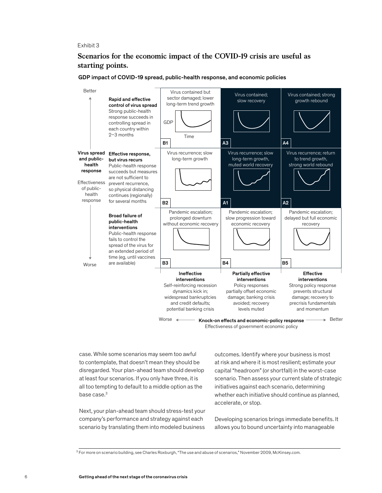#### Exhibit 3

## **Scenarios for the economic impact of the COVID-19 crisis are useful as starting points.**



GDP impact of COVID-19 spread, public-health response, and economic policies

Effectiveness of government economic policy

case. While some scenarios may seem too awful to contemplate, that doesn't mean they should be disregarded. Your plan-ahead team should develop at least four scenarios. If you only have three, it is all too tempting to default to a middle option as the base case.3

Next, your plan-ahead team should stress-test your company's performance and strategy against each scenario by translating them into modeled business

outcomes. Identify where your business is most at risk and where it is most resilient; estimate your capital "headroom" (or shortfall) in the worst-case scenario. Then assess your current slate of strategic initiatives against each scenario, determining whether each initiative should continue as planned, accelerate, or stop.

Developing scenarios brings immediate benefits. It allows you to bound uncertainty into manageable

<sup>&</sup>lt;sup>3</sup> For more on scenario building, see Charles Roxburgh, "The use and abuse of scenarios," November 2009, McKinsey.com.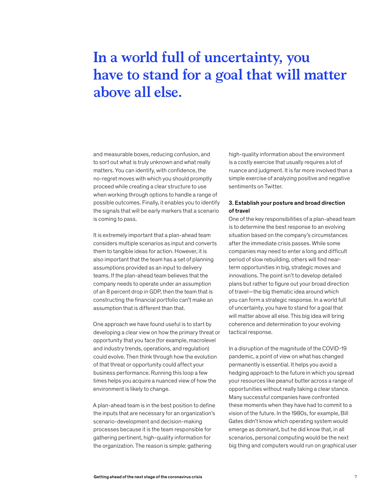# **In a world full of uncertainty, you have to stand for a goal that will matter above all else.**

and measurable boxes, reducing confusion, and to sort out what is truly unknown and what really matters. You can identify, with confidence, the no-regret moves with which you should promptly proceed while creating a clear structure to use when working through options to handle a range of possible outcomes. Finally, it enables you to identify the signals that will be early markers that a scenario is coming to pass.

It is extremely important that a plan-ahead team considers multiple scenarios as input and converts them to tangible ideas for action. However, it is also important that the team has a set of planning assumptions provided as an input to delivery teams. If the plan-ahead team believes that the company needs to operate under an assumption of an 8 percent drop in GDP, then the team that is constructing the financial portfolio can't make an assumption that is different than that.

One approach we have found useful is to start by developing a clear view on how the primary threat or opportunity that you face (for example, macrolevel and industry trends, operations, and regulation) could evolve. Then think through how the evolution of that threat or opportunity could affect your business performance. Running this loop a few times helps you acquire a nuanced view of how the environment is likely to change.

A plan-ahead team is in the best position to define the inputs that are necessary for an organization's scenario-development and decision-making processes because it is the team responsible for gathering pertinent, high-quality information for the organization. The reason is simple: gathering

high-quality information about the environment is a costly exercise that usually requires a lot of nuance and judgment. It is far more involved than a simple exercise of analyzing positive and negative sentiments on Twitter.

#### 3. Establish your posture and broad direction of travel

One of the key responsibilities of a plan-ahead team is to determine the best response to an evolving situation based on the company's circumstances after the immediate crisis passes. While some companies may need to enter a long and difficult period of slow rebuilding, others will find nearterm opportunities in big, strategic moves and innovations. The point isn't to develop detailed plans but rather to figure out your broad direction of travel—the big thematic idea around which you can form a strategic response. In a world full of uncertainty, you have to stand for a goal that will matter above all else. This big idea will bring coherence and determination to your evolving tactical response.

In a disruption of the magnitude of the COVID-19 pandemic, a point of view on what has changed permanently is essential. It helps you avoid a hedging approach to the future in which you spread your resources like peanut butter across a range of opportunities without really taking a clear stance. Many successful companies have confronted these moments when they have had to commit to a vision of the future. In the 1980s, for example, Bill Gates didn't know which operating system would emerge as dominant, but he did know that, in all scenarios, personal computing would be the next big thing and computers would run on graphical user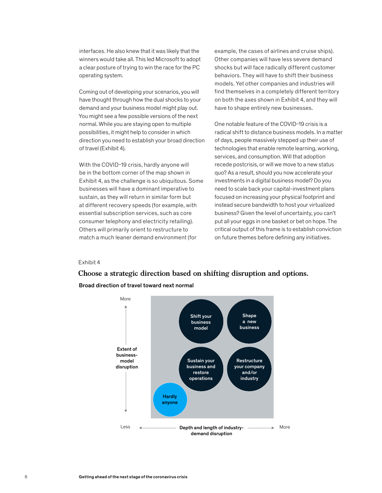interfaces. He also knew that it was likely that the winners would take all. This led Microsoft to adopt a clear posture of trying to win the race for the PC operating system.

Coming out of developing your scenarios, you will have thought through how the dual shocks to your demand and your business model might play out. You might see a few possible versions of the next normal. While you are staying open to multiple possibilities, it might help to consider in which direction you need to establish your broad direction of travel (Exhibit 4).

With the COVID-19 crisis, hardly anyone will be in the bottom corner of the map shown in Exhibit 4, as the challenge is so ubiquitous. Some businesses will have a dominant imperative to sustain, as they will return in similar form but at different recovery speeds (for example, with essential subscription services, such as core consumer telephony and electricity retailing). Others will primarily orient to restructure to match a much leaner demand environment (for

example, the cases of airlines and cruise ships). Other companies will have less severe demand shocks but will face radically different customer behaviors. They will have to shift their business models. Yet other companies and industries will find themselves in a completely different territory on both the axes shown in Exhibit 4, and they will have to shape entirely new businesses.

One notable feature of the COVID-19 crisis is a radical shift to distance business models. In a matter of days, people massively stepped up their use of technologies that enable remote learning, working, services, and consumption. Will that adoption recede postcrisis, or will we move to a new status quo? As a result, should you now accelerate your investments in a digital business model? Do you need to scale back your capital-investment plans focused on increasing your physical footprint and instead secure bandwidth to host your virtualized business? Given the level of uncertainty, you can't put all your eggs in one basket or bet on hope. The critical output of this frame is to establish conviction on future themes before defining any initiatives.

#### Exhibit 4

# **Choose a strategic direction based on shifting disruption and options.**  Broad direction of travel toward next normal

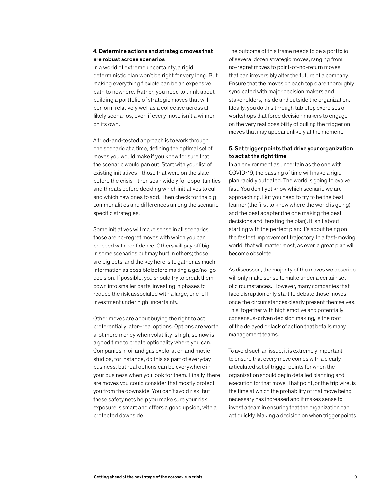#### 4. Determine actions and strategic moves that are robust across scenarios

In a world of extreme uncertainty, a rigid, deterministic plan won't be right for very long. But making everything flexible can be an expensive path to nowhere. Rather, you need to think about building a portfolio of strategic moves that will perform relatively well as a collective across all likely scenarios, even if every move isn't a winner on its own.

A tried-and-tested approach is to work through one scenario at a time, defining the optimal set of moves you would make if you knew for sure that the scenario would pan out. Start with your list of existing initiatives—those that were on the slate before the crisis—then scan widely for opportunities and threats before deciding which initiatives to cull and which new ones to add. Then check for the big commonalities and differences among the scenariospecific strategies.

Some initiatives will make sense in all scenarios; those are no-regret moves with which you can proceed with confidence. Others will pay off big in some scenarios but may hurt in others; those are big bets, and the key here is to gather as much information as possible before making a go/no-go decision. If possible, you should try to break them down into smaller parts, investing in phases to reduce the risk associated with a large, one-off investment under high uncertainty.

Other moves are about buying the right to act preferentially later–real options. Options are worth a lot more money when volatility is high, so now is a good time to create optionality where you can. Companies in oil and gas exploration and movie studios, for instance, do this as part of everyday business, but real options can be everywhere in your business when you look for them. Finally, there are moves you could consider that mostly protect you from the downside. You can't avoid risk, but these safety nets help you make sure your risk exposure is smart and offers a good upside, with a protected downside.

The outcome of this frame needs to be a portfolio of several dozen strategic moves, ranging from no-regret moves to point-of-no-return moves that can irreversibly alter the future of a company. Ensure that the moves on each topic are thoroughly syndicated with major decision makers and stakeholders, inside and outside the organization. Ideally, you do this through tabletop exercises or workshops that force decision makers to engage on the very real possibility of pulling the trigger on moves that may appear unlikely at the moment.

#### 5. Set trigger points that drive your organization to act at the right time

In an environment as uncertain as the one with COVID-19, the passing of time will make a rigid plan rapidly outdated. The world is going to evolve fast. You don't yet know which scenario we are approaching. But you need to try to be the best learner (the first to know where the world is going) and the best adapter (the one making the best decisions and iterating the plan). It isn't about starting with the perfect plan: it's about being on the fastest improvement trajectory. In a fast-moving world, that will matter most, as even a great plan will become obsolete.

As discussed, the majority of the moves we describe will only make sense to make under a certain set of circumstances. However, many companies that face disruption only start to debate those moves once the circumstances clearly present themselves. This, together with high emotive and potentially consensus-driven decision making, is the root of the delayed or lack of action that befalls many management teams.

To avoid such an issue, it is extremely important to ensure that every move comes with a clearly articulated set of trigger points for when the organization should begin detailed planning and execution for that move. That point, or the trip wire, is the time at which the probability of that move being necessary has increased and it makes sense to invest a team in ensuring that the organization can act quickly. Making a decision on when trigger points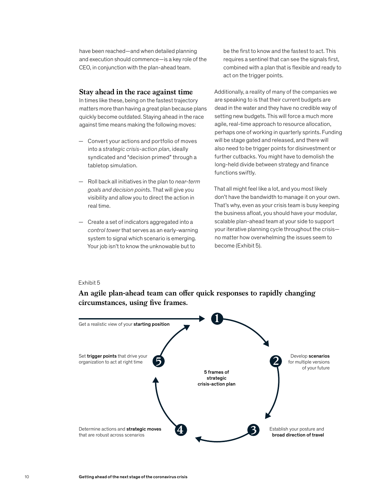have been reached—and when detailed planning and execution should commence—is a key role of the CEO, in conjunction with the plan-ahead team.

#### **Stay ahead in the race against time**

In times like these, being on the fastest trajectory matters more than having a great plan because plans quickly become outdated. Staying ahead in the race against time means making the following moves:

- Convert your actions and portfolio of moves into a *strategic crisis-action plan*, ideally syndicated and "decision primed" through a tabletop simulation.
- Roll back all initiatives in the plan to *near-term goals and decision points*. That will give you visibility and allow you to direct the action in real time.
- $-$  Create a set of indicators aggregated into a control tower that serves as an early-warning system to signal which scenario is emerging. Your job isn't to know the unknowable but to

be the first to know and the fastest to act. This requires a sentinel that can see the signals first, combined with a plan that is flexible and ready to act on the trigger points.

Additionally, a reality of many of the companies we are speaking to is that their current budgets are dead in the water and they have no credible way of setting new budgets. This will force a much more agile, real-time approach to resource allocation, perhaps one of working in quarterly sprints. Funding will be stage gated and released, and there will also need to be trigger points for disinvestment or further cutbacks. You might have to demolish the long-held divide between strategy and finance functions swiftly.

That all might feel like a lot, and you most likely don't have the bandwidth to manage it on your own. That's why, even as your crisis team is busy keeping the business afloat, you should have your modular, scalable plan-ahead team at your side to support your iterative planning cycle throughout the crisis no matter how overwhelming the issues seem to become (Exhibit 5).

#### Exhibit 5

An agile plan-ahead team can offer quick responses to rapidly changing circumstances, using five frames.